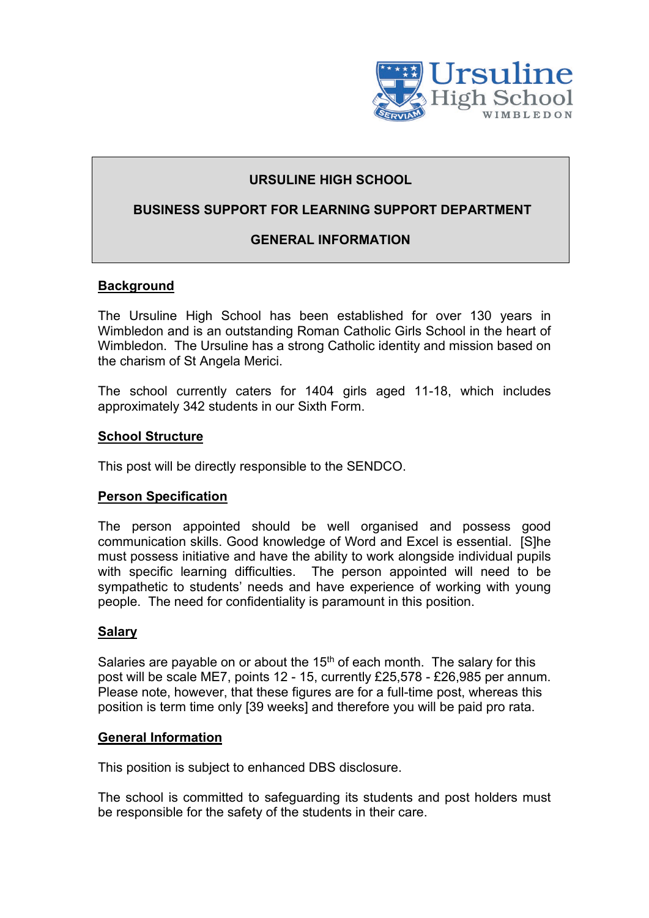

# **URSULINE HIGH SCHOOL**

# **BUSINESS SUPPORT FOR LEARNING SUPPORT DEPARTMENT**

# **GENERAL INFORMATION**

# **Background**

The Ursuline High School has been established for over 130 years in Wimbledon and is an outstanding Roman Catholic Girls School in the heart of Wimbledon. The Ursuline has a strong Catholic identity and mission based on the charism of St Angela Merici.

The school currently caters for 1404 girls aged 11-18, which includes approximately 342 students in our Sixth Form.

#### **School Structure**

This post will be directly responsible to the SENDCO.

### **Person Specification**

The person appointed should be well organised and possess good communication skills. Good knowledge of Word and Excel is essential. [S]he must possess initiative and have the ability to work alongside individual pupils with specific learning difficulties. The person appointed will need to be sympathetic to students' needs and have experience of working with young people. The need for confidentiality is paramount in this position.

### **Salary**

Salaries are payable on or about the  $15<sup>th</sup>$  of each month. The salary for this post will be scale ME7, points 12 - 15, currently £25,578 - £26,985 per annum. Please note, however, that these figures are for a full-time post, whereas this position is term time only [39 weeks] and therefore you will be paid pro rata.

#### **General Information**

This position is subject to enhanced DBS disclosure.

The school is committed to safeguarding its students and post holders must be responsible for the safety of the students in their care.